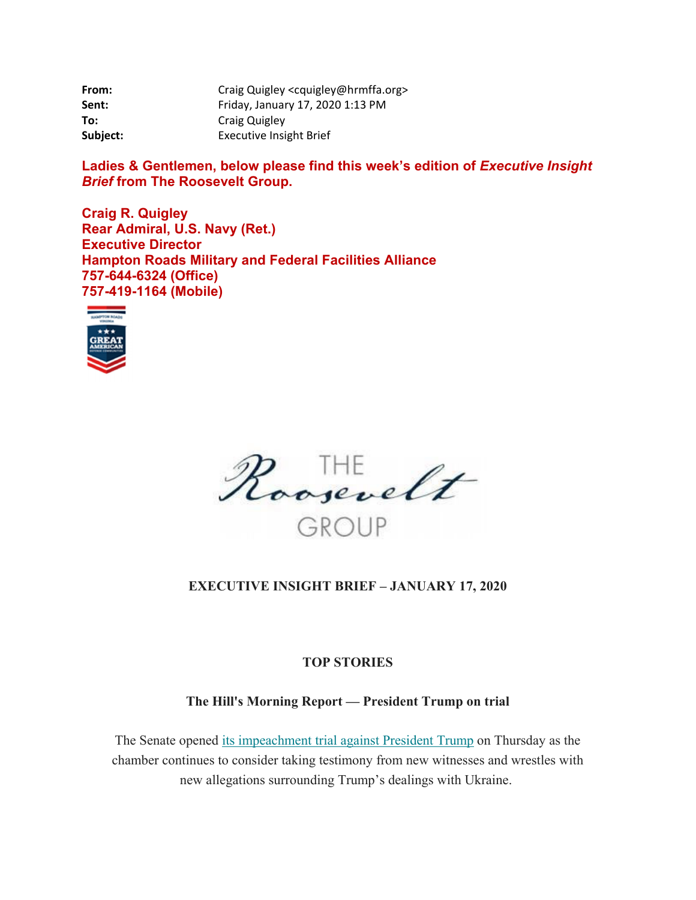| From:    | Craig Quigley <cquigley@hrmffa.org></cquigley@hrmffa.org> |
|----------|-----------------------------------------------------------|
| Sent:    | Friday, January 17, 2020 1:13 PM                          |
| To:      | <b>Craig Quigley</b>                                      |
| Subject: | <b>Executive Insight Brief</b>                            |

Ladies & Gentlemen, below please find this week's edition of *Executive Insight Brief* **from The Roosevelt Group.** 

**Craig R. Quigley Rear Admiral, U.S. Navy (Ret.) Executive Director Hampton Roads Military and Federal Facilities Alliance 757-644-6324 (Office) 757-419-1164 (Mobile)** 





### **EXECUTIVE INSIGHT BRIEF – JANUARY 17, 2020**

#### **TOP STORIES**

### **The Hill's Morning Report — President Trump on trial**

The Senate opened its impeachment trial against President Trump on Thursday as the chamber continues to consider taking testimony from new witnesses and wrestles with new allegations surrounding Trump's dealings with Ukraine.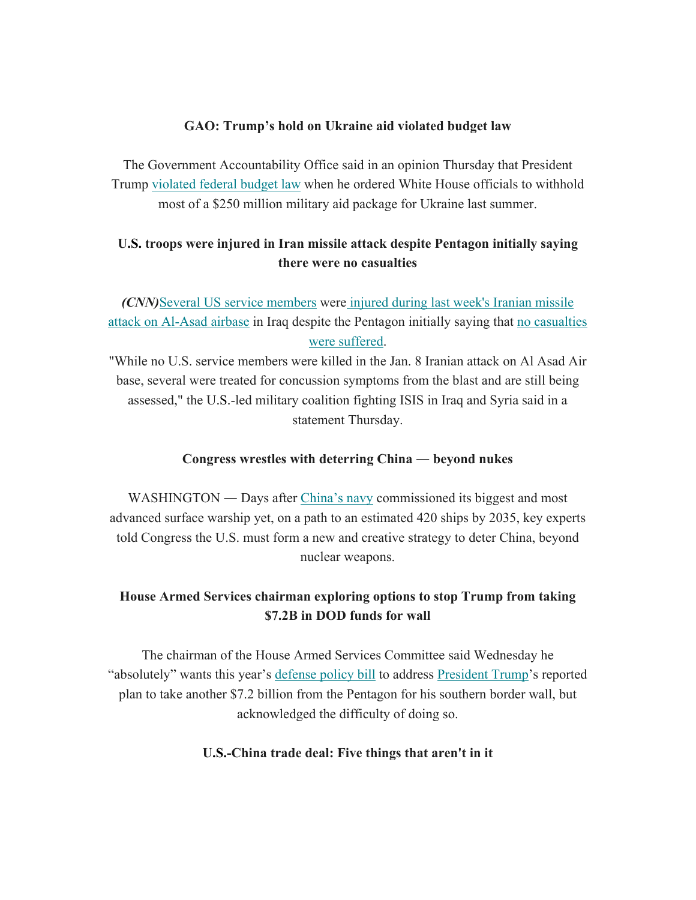#### **GAO: Trump's hold on Ukraine aid violated budget law**

The Government Accountability Office said in an opinion Thursday that President Trump violated federal budget law when he ordered White House officials to withhold most of a \$250 million military aid package for Ukraine last summer.

## **U.S. troops were injured in Iran missile attack despite Pentagon initially saying there were no casualties**

*(CNN)*Several US service members were injured during last week's Iranian missile attack on Al-Asad airbase in Iraq despite the Pentagon initially saying that no casualties were suffered.

"While no U.S. service members were killed in the Jan. 8 Iranian attack on Al Asad Air base, several were treated for concussion symptoms from the blast and are still being assessed," the U.S.-led military coalition fighting ISIS in Iraq and Syria said in a statement Thursday.

### **Congress wrestles with deterring China ― beyond nukes**

WASHINGTON — Days after China's navy commissioned its biggest and most advanced surface warship yet, on a path to an estimated 420 ships by 2035, key experts told Congress the U.S. must form a new and creative strategy to deter China, beyond nuclear weapons.

# **House Armed Services chairman exploring options to stop Trump from taking \$7.2B in DOD funds for wall**

The chairman of the House Armed Services Committee said Wednesday he "absolutely" wants this year's defense policy bill to address President Trump's reported plan to take another \$7.2 billion from the Pentagon for his southern border wall, but acknowledged the difficulty of doing so.

### **U.S.-China trade deal: Five things that aren't in it**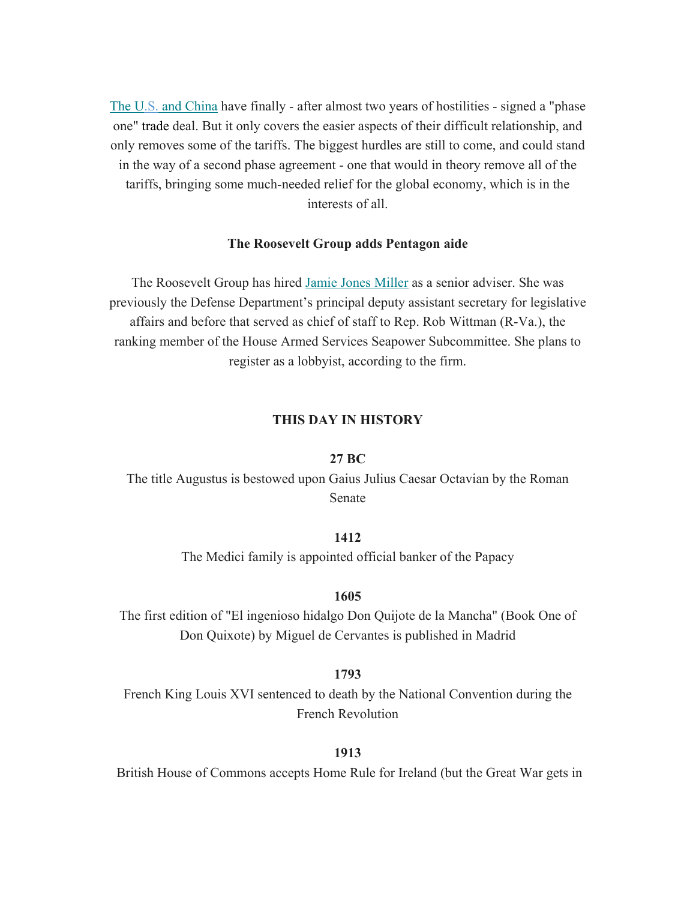The U.S. and China have finally - after almost two years of hostilities - signed a "phase one" trade deal. But it only covers the easier aspects of their difficult relationship, and only removes some of the tariffs. The biggest hurdles are still to come, and could stand in the way of a second phase agreement - one that would in theory remove all of the tariffs, bringing some much-needed relief for the global economy, which is in the interests of all.

#### **The Roosevelt Group adds Pentagon aide**

The Roosevelt Group has hired Jamie Jones Miller as a senior adviser. She was previously the Defense Department's principal deputy assistant secretary for legislative affairs and before that served as chief of staff to Rep. Rob Wittman (R-Va.), the ranking member of the House Armed Services Seapower Subcommittee. She plans to register as a lobbyist, according to the firm.

#### **THIS DAY IN HISTORY**

#### **27 BC**

The title Augustus is bestowed upon Gaius Julius Caesar Octavian by the Roman Senate

#### **1412**

The Medici family is appointed official banker of the Papacy

#### **1605**

The first edition of "El ingenioso hidalgo Don Quijote de la Mancha" (Book One of Don Quixote) by Miguel de Cervantes is published in Madrid

#### **1793**

French King Louis XVI sentenced to death by the National Convention during the French Revolution

#### **1913**

British House of Commons accepts Home Rule for Ireland (but the Great War gets in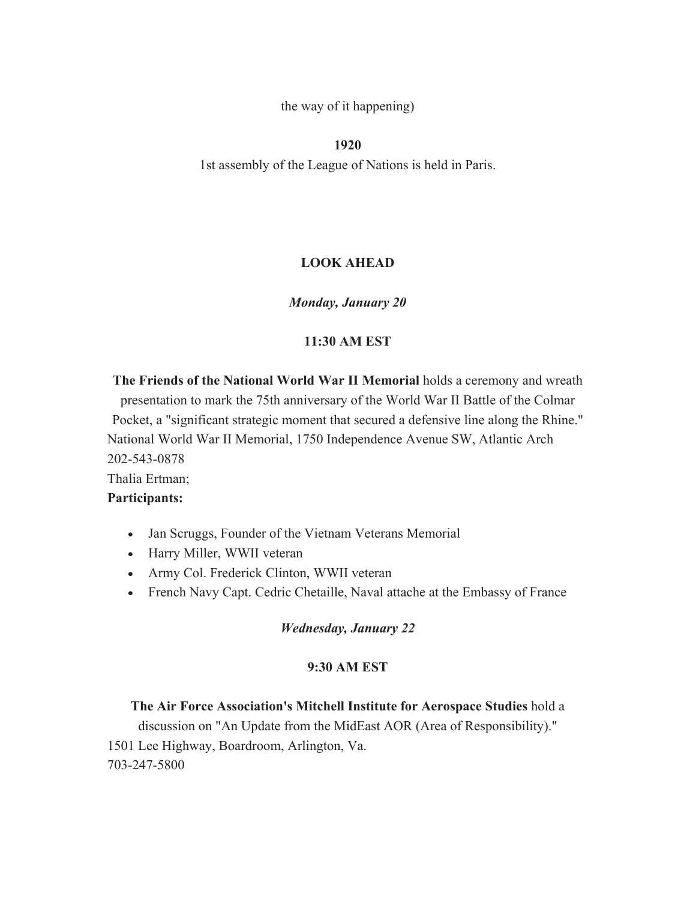the way of it happening)

**1920** 

1st assembly of the League of Nations is held in Paris.

### **LOOK AHEAD**

### *Monday, January 20*

### **11:30 AM EST**

**The Friends of the National World War II Memorial** holds a ceremony and wreath presentation to mark the 75th anniversary of the World War II Battle of the Colmar Pocket, a "significant strategic moment that secured a defensive line along the Rhine." National World War II Memorial, 1750 Independence Avenue SW, Atlantic Arch 202-543-0878 Thalia Ertman;

#### **Participants:**

- Jan Scruggs, Founder of the Vietnam Veterans Memorial
- Harry Miller, WWII veteran
- Army Col. Frederick Clinton, WWII veteran
- French Navy Capt. Cedric Chetaille, Naval attache at the Embassy of France

#### *Wednesday, January 22*

#### **9:30 AM EST**

### **The Air Force Association's Mitchell Institute for Aerospace Studies** hold a

discussion on "An Update from the MidEast AOR (Area of Responsibility)." 1501 Lee Highway, Boardroom, Arlington, Va. 703-247-5800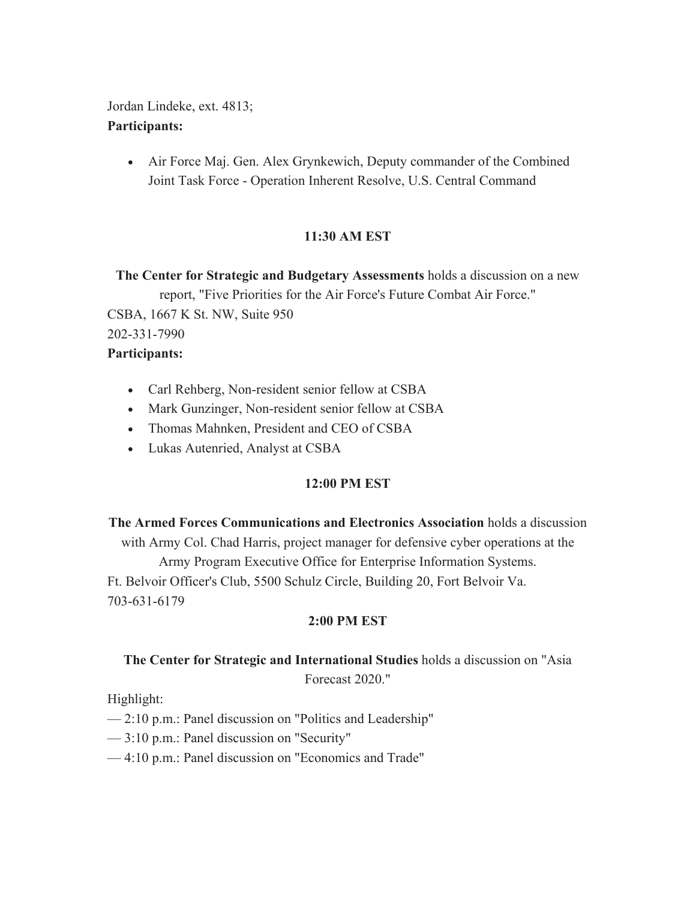Jordan Lindeke, ext. 4813; **Participants:** 

> Air Force Maj. Gen. Alex Grynkewich, Deputy commander of the Combined Joint Task Force - Operation Inherent Resolve, U.S. Central Command

## **11:30 AM EST**

**The Center for Strategic and Budgetary Assessments** holds a discussion on a new report, "Five Priorities for the Air Force's Future Combat Air Force." CSBA, 1667 K St. NW, Suite 950 202-331-7990 **Participants:** 

- Carl Rehberg, Non-resident senior fellow at CSBA
- Mark Gunzinger, Non-resident senior fellow at CSBA
- Thomas Mahnken, President and CEO of CSBA
- Lukas Autenried, Analyst at CSBA

### **12:00 PM EST**

**The Armed Forces Communications and Electronics Association** holds a discussion with Army Col. Chad Harris, project manager for defensive cyber operations at the Army Program Executive Office for Enterprise Information Systems. Ft. Belvoir Officer's Club, 5500 Schulz Circle, Building 20, Fort Belvoir Va. 703-631-6179

### **2:00 PM EST**

# **The Center for Strategic and International Studies** holds a discussion on "Asia Forecast 2020."

Highlight:

- 2:10 p.m.: Panel discussion on "Politics and Leadership"
- 3:10 p.m.: Panel discussion on "Security"
- 4:10 p.m.: Panel discussion on "Economics and Trade"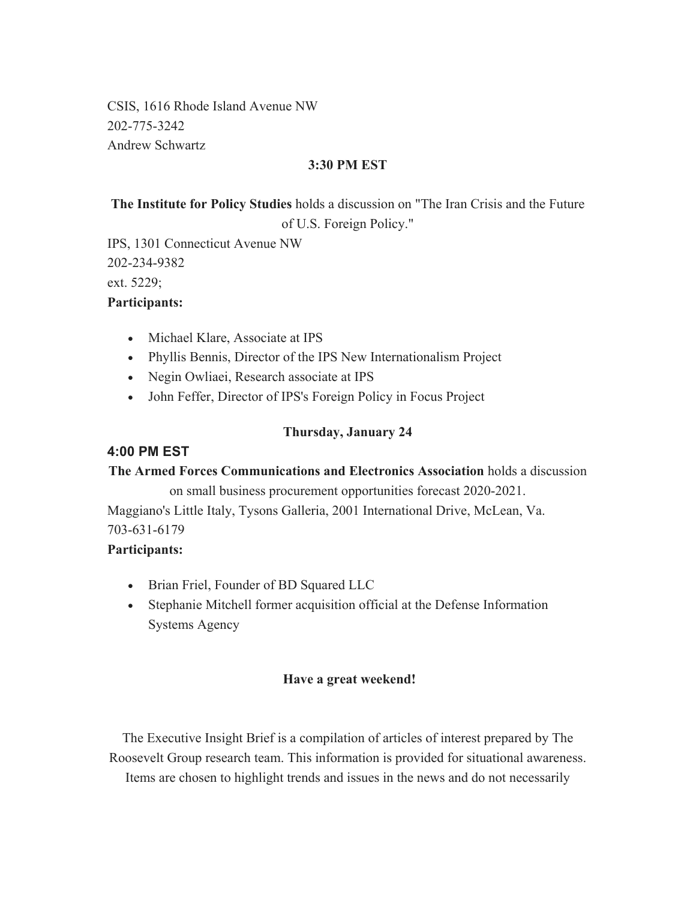CSIS, 1616 Rhode Island Avenue NW 202-775-3242 Andrew Schwartz

### **3:30 PM EST**

**The Institute for Policy Studies** holds a discussion on "The Iran Crisis and the Future of U.S. Foreign Policy."

IPS, 1301 Connecticut Avenue NW 202-234-9382 ext. 5229; **Participants:** 

- Michael Klare, Associate at IPS
- Phyllis Bennis, Director of the IPS New Internationalism Project
- Negin Owliaei, Research associate at IPS
- John Feffer, Director of IPS's Foreign Policy in Focus Project

### **Thursday, January 24**

### **4:00 PM EST**

### **The Armed Forces Communications and Electronics Association** holds a discussion

on small business procurement opportunities forecast 2020-2021. Maggiano's Little Italy, Tysons Galleria, 2001 International Drive, McLean, Va. 703-631-6179

### **Participants:**

- Brian Friel, Founder of BD Squared LLC
- Stephanie Mitchell former acquisition official at the Defense Information Systems Agency

### **Have a great weekend!**

The Executive Insight Brief is a compilation of articles of interest prepared by The Roosevelt Group research team. This information is provided for situational awareness. Items are chosen to highlight trends and issues in the news and do not necessarily